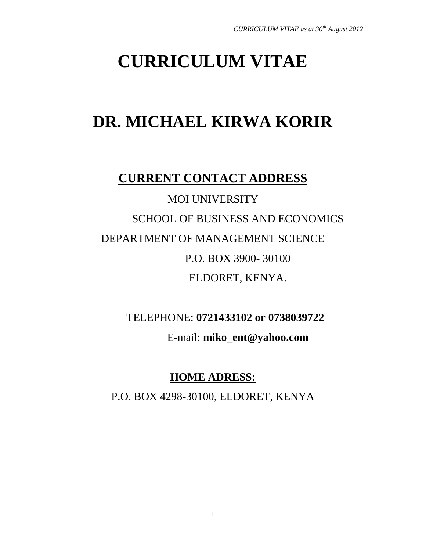# **CURRICULUM VITAE**

## **DR. MICHAEL KIRWA KORIR**

## **CURRENT CONTACT ADDRESS**

MOI UNIVERSITY SCHOOL OF BUSINESS AND ECONOMICS DEPARTMENT OF MANAGEMENT SCIENCE P.O. BOX 3900- 30100 ELDORET, KENYA.

TELEPHONE: **0721433102 or 0738039722**

E-mail: **[miko\\_ent@yahoo.com](mailto:miko_ent@yahoo.com)**

### **HOME ADRESS:**

P.O. BOX 4298-30100, ELDORET, KENYA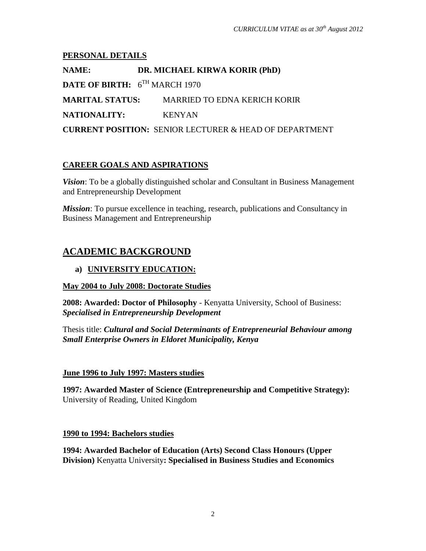#### **PERSONAL DETAILS**

**NAME: DR. MICHAEL KIRWA KORIR (PhD) DATE OF BIRTH:** 6 TH MARCH 1970 **MARITAL STATUS:** MARRIED TO EDNA KERICH KORIR **NATIONALITY:** KENYAN **CURRENT POSITION:** SENIOR LECTURER & HEAD OF DEPARTMENT

#### **CAREER GOALS AND ASPIRATIONS**

*Vision*: To be a globally distinguished scholar and Consultant in Business Management and Entrepreneurship Development

*Mission*: To pursue excellence in teaching, research, publications and Consultancy in Business Management and Entrepreneurship

### **ACADEMIC BACKGROUND**

#### **a) UNIVERSITY EDUCATION:**

#### **May 2004 to July 2008: Doctorate Studies**

**2008: Awarded: Doctor of Philosophy** - Kenyatta University, School of Business: *Specialised in Entrepreneurship Development*

Thesis title: *Cultural and Social Determinants of Entrepreneurial Behaviour among Small Enterprise Owners in Eldoret Municipality, Kenya*

#### **June 1996 to July 1997: Masters studies**

**1997: Awarded Master of Science (Entrepreneurship and Competitive Strategy):** University of Reading, United Kingdom

#### **1990 to 1994: Bachelors studies**

**1994: Awarded Bachelor of Education (Arts) Second Class Honours (Upper Division)** Kenyatta University**: Specialised in Business Studies and Economics**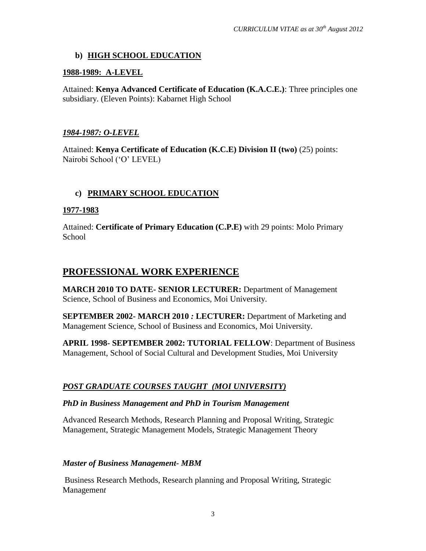#### **b) HIGH SCHOOL EDUCATION**

#### **1988-1989: A-LEVEL**

Attained: **Kenya Advanced Certificate of Education (K.A.C.E.)**: Three principles one subsidiary. (Eleven Points): Kabarnet High School

#### *1984-1987: O-LEVEL*

Attained: **Kenya Certificate of Education (K.C.E) Division II (two)** (25) points: Nairobi School ('O' LEVEL)

#### **c) PRIMARY SCHOOL EDUCATION**

#### **1977-1983**

Attained: **Certificate of Primary Education (C.P.E)** with 29 points: Molo Primary **School** 

#### **PROFESSIONAL WORK EXPERIENCE**

**MARCH 2010 TO DATE- SENIOR LECTURER:** Department of Management Science, School of Business and Economics, Moi University.

**SEPTEMBER 2002- MARCH 2010** *:* **LECTURER:** Department of Marketing and Management Science, School of Business and Economics, Moi University.

**APRIL 1998- SEPTEMBER 2002: TUTORIAL FELLOW**: Department of Business Management, School of Social Cultural and Development Studies, Moi University

#### *POST GRADUATE COURSES TAUGHT (MOI UNIVERSITY)*

#### *PhD in Business Management and PhD in Tourism Management*

Advanced Research Methods, Research Planning and Proposal Writing, Strategic Management, Strategic Management Models, Strategic Management Theory

#### *Master of Business Management- MBM*

Business Research Methods, Research planning and Proposal Writing, Strategic Managemen*t*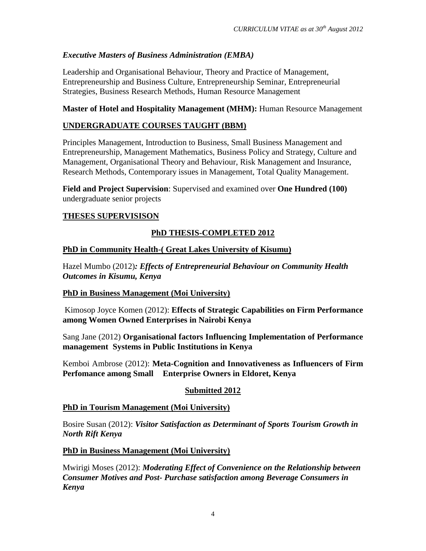#### *Executive Masters of Business Administration (EMBA)*

Leadership and Organisational Behaviour, Theory and Practice of Management, Entrepreneurship and Business Culture, Entrepreneurship Seminar, Entrepreneurial Strategies, Business Research Methods, Human Resource Management

#### **Master of Hotel and Hospitality Management (MHM):** Human Resource Management

#### **UNDERGRADUATE COURSES TAUGHT (BBM)**

Principles Management, Introduction to Business, Small Business Management and Entrepreneurship, Management Mathematics, Business Policy and Strategy, Culture and Management, Organisational Theory and Behaviour, Risk Management and Insurance, Research Methods, Contemporary issues in Management, Total Quality Management.

**Field and Project Supervision**: Supervised and examined over **One Hundred (100)** undergraduate senior projects

#### **THESES SUPERVISISON**

#### **PhD THESIS-COMPLETED 2012**

#### **PhD in Community Health-( Great Lakes University of Kisumu)**

Hazel Mumbo (2012)*: Effects of Entrepreneurial Behaviour on Community Health Outcomes in Kisumu, Kenya* 

#### **PhD in Business Management (Moi University)**

Kimosop Joyce Komen (2012): **Effects of Strategic Capabilities on Firm Performance among Women Owned Enterprises in Nairobi Kenya**

Sang Jane (2012) **Organisational factors Influencing Implementation of Performance management Systems in Public Institutions in Kenya**

Kemboi Ambrose (2012): **Meta-Cognition and Innovativeness as Influencers of Firm Perfomance among Small Enterprise Owners in Eldoret, Kenya**

#### **Submitted 2012**

#### **PhD in Tourism Management (Moi University)**

Bosire Susan (2012): *Visitor Satisfaction as Determinant of Sports Tourism Growth in North Rift Kenya*

#### **PhD in Business Management (Moi University)**

Mwirigi Moses (2012): *Moderating Effect of Convenience on the Relationship between Consumer Motives and Post- Purchase satisfaction among Beverage Consumers in Kenya*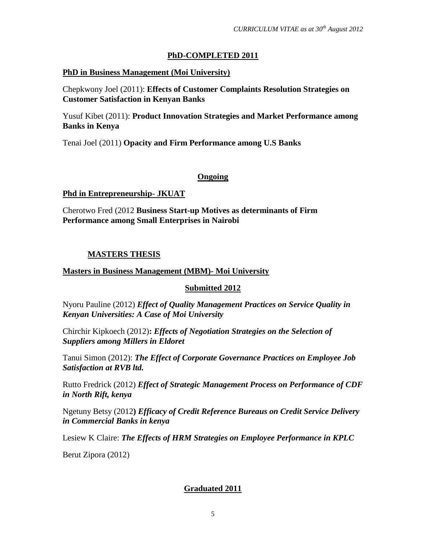#### **PhD-COMPLETED 2011**

#### **PhD in Business Management (Moi University)**

Chepkwony Joel (2011): **Effects of Customer Complaints Resolution Strategies on Customer Satisfaction in Kenyan Banks**

Yusuf Kibet (2011): **Product Innovation Strategies and Market Performance among Banks in Kenya**

Tenai Joel (2011) **Opacity and Firm Performance among U.S Banks**

#### **Ongoing**

**Phd in Entrepreneurship- JKUAT**

Cherotwo Fred (2012 **Business Start-up Motives as determinants of Firm Performance among Small Enterprises in Nairobi**

#### **MASTERS THESIS**

#### **Masters in Business Management (MBM)- Moi University**

#### **Submitted 2012**

Nyoru Pauline (2012) *Effect of Quality Management Practices on Service Quality in Kenyan Universities: A Case of Moi University*

Chirchir Kipkoech (2012)**:** *Effects of Negotiation Strategies on the Selection of Suppliers among Millers in Eldoret*

Tanui Simon (2012): *The Effect of Corporate Governance Practices on Employee Job Satisfaction at RVB ltd.*

Rutto Fredrick (2012) *Effect of Strategic Management Process on Performance of CDF in North Rift, kenya*

Ngetuny Betsy (2012**)** *Efficacy of Credit Reference Bureaus on Credit Service Delivery in Commercial Banks in kenya*

Lesiew K Claire: *The Effects of HRM Strategies on Employee Performance in KPLC*

Berut Zipora (2012)

#### **Graduated 2011**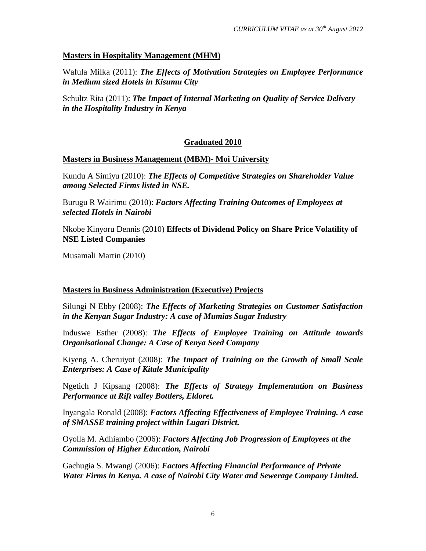#### **Masters in Hospitality Management (MHM)**

Wafula Milka (2011): *The Effects of Motivation Strategies on Employee Performance in Medium sized Hotels in Kisumu City*

Schultz Rita (2011): *The Impact of Internal Marketing on Quality of Service Delivery in the Hospitality Industry in Kenya*

#### **Graduated 2010**

#### **Masters in Business Management (MBM)- Moi University**

Kundu A Simiyu (2010): *The Effects of Competitive Strategies on Shareholder Value among Selected Firms listed in NSE.*

Burugu R Wairimu (2010): *Factors Affecting Training Outcomes of Employees at selected Hotels in Nairobi*

Nkobe Kinyoru Dennis (2010) **Effects of Dividend Policy on Share Price Volatility of NSE Listed Companies**

Musamali Martin (2010)

#### **Masters in Business Administration (Executive) Projects**

Silungi N Ebby (2008): *The Effects of Marketing Strategies on Customer Satisfaction in the Kenyan Sugar Industry: A case of Mumias Sugar Industry*

Induswe Esther (2008): *The Effects of Employee Training on Attitude towards Organisational Change: A Case of Kenya Seed Company*

Kiyeng A. Cheruiyot (2008): *The Impact of Training on the Growth of Small Scale Enterprises: A Case of Kitale Municipality*

Ngetich J Kipsang (2008): *The Effects of Strategy Implementation on Business Performance at Rift valley Bottlers, Eldoret.*

Inyangala Ronald (2008): *Factors Affecting Effectiveness of Employee Training. A case of SMASSE training project within Lugari District.*

Oyolla M. Adhiambo (2006): *Factors Affecting Job Progression of Employees at the Commission of Higher Education, Nairobi*

Gachugia S. Mwangi (2006): *Factors Affecting Financial Performance of Private Water Firms in Kenya. A case of Nairobi City Water and Sewerage Company Limited.*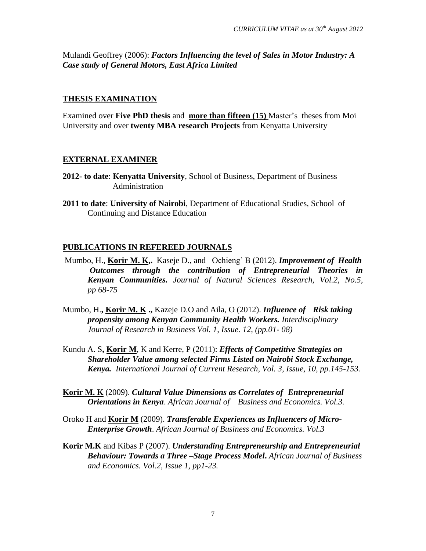Mulandi Geoffrey (2006): *Factors Influencing the level of Sales in Motor Industry: A Case study of General Motors, East Africa Limited*

#### **THESIS EXAMINATION**

Examined over **Five PhD thesis** and **more than fifteen (15)** Master's theses from Moi University and over **twenty MBA research Projects** from Kenyatta University

#### **EXTERNAL EXAMINER**

- **2012- to date**: **Kenyatta University**, School of Business, Department of Business Administration
- **2011 to date**: **University of Nairobi**, Department of Educational Studies, School of Continuing and Distance Education

#### **PUBLICATIONS IN REFEREED JOURNALS**

- Mumbo, H., **Korir M. K,.** Kaseje D., and Ochieng' B (2012). *Improvement of Health Outcomes through the contribution of Entrepreneurial Theories in Kenyan Communities. Journal of Natural Sciences Research, Vol.2, No.5, pp 68-75*
- Mumbo, H.**, Korir M. K .,** Kazeje D.O and Aila, O (2012). *Influence of Risk taking propensity among Kenyan Community Health Workers. Interdisciplinary Journal of Research in Business Vol. 1, Issue. 12, (pp.01- 08)*
- Kundu A. S**, Korir M**, K and Kerre, P (2011): *Effects of Competitive Strategies on Shareholder Value among selected Firms Listed on Nairobi Stock Exchange, Kenya. International Journal of Current Research, Vol. 3, Issue, 10, pp.145-153.*
- **Korir M. K** (2009). *Cultural Value Dimensions as Correlates of Entrepreneurial Orientations in Kenya*. *African Journal of Business and Economics. Vol.3.*
- Oroko H and **Korir M** (2009). *Transferable Experiences as Influencers of Micro-Enterprise Growth*. *African Journal of Business and Economics. Vol.3*
- **Korir M.K** and Kibas P (2007). *Understanding Entrepreneurship and Entrepreneurial Behaviour: Towards a Three –Stage Process Model***.** *African Journal of Business and Economics. Vol.2, Issue 1, pp1-23.*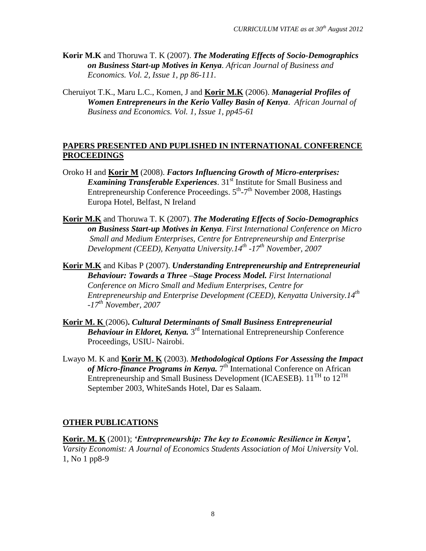- **Korir M.K** and Thoruwa T. K (2007). *The Moderating Effects of Socio-Demographics on Business Start-up Motives in Kenya*. *African Journal of Business and Economics. Vol. 2, Issue 1, pp 86-111.*
- Cheruiyot T.K., Maru L.C., Komen, J and **Korir M.K** (2006). *Managerial Profiles of Women Entrepreneurs in the Kerio Valley Basin of Kenya*. *African Journal of Business and Economics. Vol. 1, Issue 1, pp45-61*

#### **PAPERS PRESENTED AND PUPLISHED IN INTERNATIONAL CONFERENCE PROCEEDINGS**

- Oroko H and **Korir M** (2008). *Factors Influencing Growth of Micro-enterprises: Examining Transferable Experiences.* 31<sup>st</sup> Institute for Small Business and Entrepreneurship Conference Proceedings.  $5^{th}$ - $7^{th}$  November 2008, Hastings Europa Hotel, Belfast, N Ireland
- **Korir M.K** and Thoruwa T. K (2007). *The Moderating Effects of Socio-Demographics on Business Start-up Motives in Kenya*. *First International Conference on Micro Small and Medium Enterprises, Centre for Entrepreneurship and Enterprise Development (CEED), Kenyatta University.14th -17th November, 2007*
- **Korir M.K** and Kibas P (2007). *Understanding Entrepreneurship and Entrepreneurial Behaviour: Towards a Three –Stage Process Model. First International Conference on Micro Small and Medium Enterprises, Centre for Entrepreneurship and Enterprise Development (CEED), Kenyatta University.14th -17th November, 2007*
- **Korir M. K** (2006)**.** *Cultural Determinants of Small Business Entrepreneurial*  **Behaviour in Eldoret, Kenya.** 3<sup>rd</sup> International Entrepreneurship Conference Proceedings, USIU- Nairobi.
- Lwayo M. K and **Korir M. K** (2003). *Methodological Options For Assessing the Impact* of Micro-finance Programs in Kenya. 7<sup>th</sup> International Conference on African Entrepreneurship and Small Business Development (ICAESEB).  $11^{TH}$  to  $12^{TH}$ September 2003, WhiteSands Hotel, Dar es Salaam.

#### **OTHER PUBLICATIONS**

**Korir. M. K** (2001); *"Entrepreneurship: The key to Economic Resilience in Kenya", Varsity Economist: A Journal of Economics Students Association of Moi University* Vol. 1, No 1 pp8-9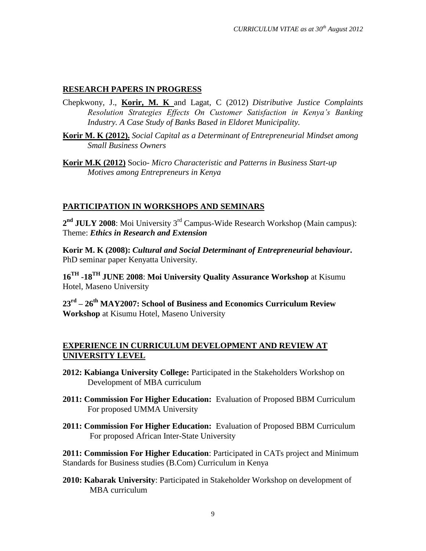#### **RESEARCH PAPERS IN PROGRESS**

- Chepkwony, J., **Korir, M. K** and Lagat, C (2012) *Distributive Justice Complaints Resolution Strategies Effects On Customer Satisfaction in Kenya's Banking Industry. A Case Study of Banks Based in Eldoret Municipality.*
- **Korir M. K (2012).** *Social Capital as a Determinant of Entrepreneurial Mindset among Small Business Owners*
- **Korir M.K (2012)** Socio*- Micro Characteristic and Patterns in Business Start-up Motives among Entrepreneurs in Kenya*

#### **PARTICIPATION IN WORKSHOPS AND SEMINARS**

2<sup>nd</sup> JULY 2008: Moi University 3<sup>rd</sup> Campus-Wide Research Workshop (Main campus): Theme: *Ethics in Research and Extension*

**Korir M. K (2008):** *Cultural and Social Determinant of Entrepreneurial behaviour***.**  PhD seminar paper Kenyatta University.

**16TH -18TH JUNE 2008**: **Moi University Quality Assurance Workshop** at Kisumu Hotel, Maseno University

**23rd – 26th MAY2007: School of Business and Economics Curriculum Review Workshop** at Kisumu Hotel, Maseno University

#### **EXPERIENCE IN CURRICULUM DEVELOPMENT AND REVIEW AT UNIVERSITY LEVEL**

- **2012: Kabianga University College:** Participated in the Stakeholders Workshop on Development of MBA curriculum
- **2011: Commission For Higher Education:** Evaluation of Proposed BBM Curriculum For proposed UMMA University
- **2011: Commission For Higher Education:** Evaluation of Proposed BBM Curriculum For proposed African Inter-State University

**2011: Commission For Higher Education**: Participated in CATs project and Minimum Standards for Business studies (B.Com) Curriculum in Kenya

**2010: Kabarak University**: Participated in Stakeholder Workshop on development of MBA curriculum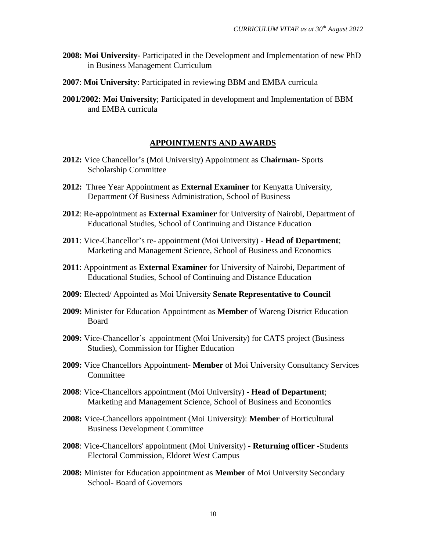- **2008: Moi University** Participated in the Development and Implementation of new PhD in Business Management Curriculum
- **2007**: **Moi University**: Participated in reviewing BBM and EMBA curricula
- **2001/2002: Moi University**; Participated in development and Implementation of BBM and EMBA curricula

#### **APPOINTMENTS AND AWARDS**

- **2012:** Vice Chancellor's (Moi University) Appointment as **Chairman** Sports Scholarship Committee
- **2012:** Three Year Appointment as **External Examiner** for Kenyatta University, Department Of Business Administration, School of Business
- **2012**: Re-appointment as **External Examiner** for University of Nairobi, Department of Educational Studies, School of Continuing and Distance Education
- **2011**: Vice-Chancellor's re- appointment (Moi University) **Head of Department**; Marketing and Management Science, School of Business and Economics
- **2011**: Appointment as **External Examiner** for University of Nairobi, Department of Educational Studies, School of Continuing and Distance Education
- **2009:** Elected/ Appointed as Moi University **Senate Representative to Council**
- **2009:** Minister for Education Appointment as **Member** of Wareng District Education Board
- **2009:** Vice-Chancellor's appointment (Moi University) for CATS project (Business Studies), Commission for Higher Education
- **2009:** Vice Chancellors Appointment- **Member** of Moi University Consultancy Services **Committee**
- **2008**: Vice-Chancellors appointment (Moi University) **Head of Department**; Marketing and Management Science, School of Business and Economics
- **2008:** Vice-Chancellors appointment (Moi University): **Member** of Horticultural Business Development Committee
- **2008**: Vice-Chancellors' appointment (Moi University) **Returning officer** -Students Electoral Commission, Eldoret West Campus
- **2008:** Minister for Education appointment as **Member** of Moi University Secondary School- Board of Governors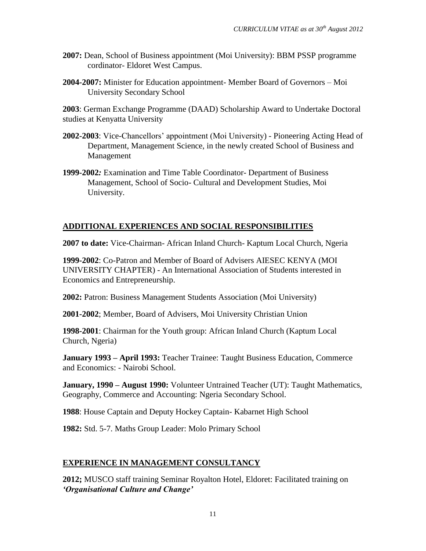- **2007:** Dean, School of Business appointment (Moi University): BBM PSSP programme cordinator- Eldoret West Campus.
- **2004-2007:** Minister for Education appointment- Member Board of Governors Moi University Secondary School

**2003**: German Exchange Programme (DAAD) Scholarship Award to Undertake Doctoral studies at Kenyatta University

- **2002-2003**: Vice-Chancellors' appointment (Moi University) Pioneering Acting Head of Department, Management Science, in the newly created School of Business and Management
- **1999-2002***:* Examination and Time Table Coordinator- Department of Business Management, School of Socio- Cultural and Development Studies, Moi University.

#### **ADDITIONAL EXPERIENCES AND SOCIAL RESPONSIBILITIES**

**2007 to date:** Vice-Chairman- African Inland Church- Kaptum Local Church, Ngeria

**1999-2002**: Co-Patron and Member of Board of Advisers AIESEC KENYA (MOI UNIVERSITY CHAPTER) - An International Association of Students interested in Economics and Entrepreneurship.

**2002:** Patron: Business Management Students Association (Moi University)

**2001-2002**; Member, Board of Advisers, Moi University Christian Union

**1998-2001**: Chairman for the Youth group: African Inland Church (Kaptum Local Church, Ngeria)

**January 1993 – April 1993:** Teacher Trainee: Taught Business Education, Commerce and Economics: - Nairobi School.

**January, 1990 – August 1990:** Volunteer Untrained Teacher (UT): Taught Mathematics, Geography, Commerce and Accounting: Ngeria Secondary School.

**1988**: House Captain and Deputy Hockey Captain- Kabarnet High School

**1982:** Std. 5-7. Maths Group Leader: Molo Primary School

#### **EXPERIENCE IN MANAGEMENT CONSULTANCY**

**2012;** MUSCO staff training Seminar Royalton Hotel, Eldoret: Facilitated training on *"Organisational Culture and Change"*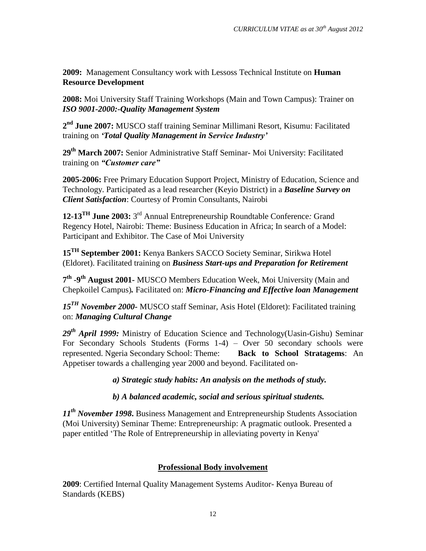**2009:** Management Consultancy work with Lessoss Technical Institute on **Human Resource Development**

**2008:** Moi University Staff Training Workshops (Main and Town Campus): Trainer on *ISO 9001-2000:-Quality Management System*

**2 nd June 2007:** MUSCO staff training Seminar Millimani Resort, Kisumu: Facilitated training on *"Total Quality Management in Service Industry"*

**29th March 2007:** Senior Administrative Staff Seminar- Moi University: Facilitated training on *"Customer care"*

**2005-2006:** Free Primary Education Support Project, Ministry of Education, Science and Technology. Participated as a lead researcher (Keyio District) in a *Baseline Survey on Client Satisfaction*: Courtesy of Promin Consultants, Nairobi

**12-13TH June 2003:** 3 rd Annual Entrepreneurship Roundtable Conference*:* Grand Regency Hotel, Nairobi: Theme: Business Education in Africa; In search of a Model: Participant and Exhibitor. The Case of Moi University

**15TH September 2001:** Kenya Bankers SACCO Society Seminar, Sirikwa Hotel (Eldoret). Facilitated training on *Business Start-ups and Preparation for Retirement*

**7 th -9 th August 2001***-* MUSCO Members Education Week, Moi University (Main and Chepkoilel Campus)*.* Facilitated on: *Micro-Financing and Effective loan Management*

*15TH November 2000-* MUSCO staff Seminar, Asis Hotel (Eldoret): Facilitated training on: *Managing Cultural Change*

*29th April 1999:* Ministry of Education Science and Technology(Uasin-Gishu) Seminar For Secondary Schools Students (Forms 1-4) – Over 50 secondary schools were represented. Ngeria Secondary School: Theme: **Back to School Stratagems**: An Appetiser towards a challenging year 2000 and beyond. Facilitated on-

*a) Strategic study habits: An analysis on the methods of study.*

*b) A balanced academic, social and serious spiritual students.*

*11th November 1998***.** Business Management and Entrepreneurship Students Association (Moi University) Seminar Theme: Entrepreneurship: A pragmatic outlook. Presented a paper entitled 'The Role of Entrepreneurship in alleviating poverty in Kenya'

#### **Professional Body involvement**

**2009**: Certified Internal Quality Management Systems Auditor- Kenya Bureau of Standards (KEBS)